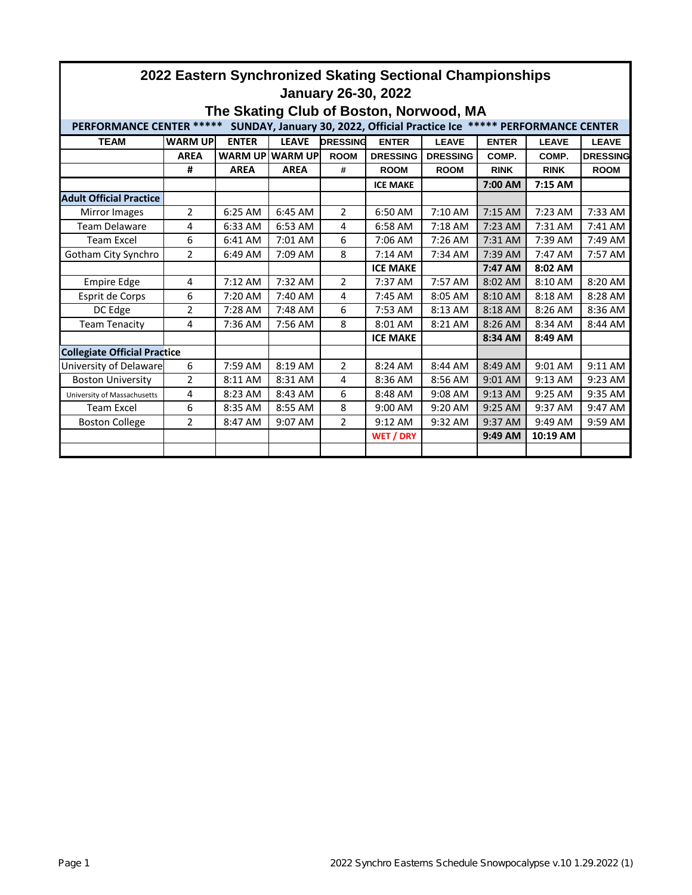| 2022 Eastern Synchronized Skating Sectional Championships<br><b>January 26-30, 2022</b>                     |                |                   |                 |                 |                  |                 |              |              |                 |  |  |
|-------------------------------------------------------------------------------------------------------------|----------------|-------------------|-----------------|-----------------|------------------|-----------------|--------------|--------------|-----------------|--|--|
| The Skating Club of Boston, Norwood, MA                                                                     |                |                   |                 |                 |                  |                 |              |              |                 |  |  |
| <b>PERFORMANCE CENTER *****</b><br>SUNDAY, January 30, 2022, Official Practice Ice ***** PERFORMANCE CENTER |                |                   |                 |                 |                  |                 |              |              |                 |  |  |
| <b>TEAM</b>                                                                                                 | <b>WARM UP</b> | <b>ENTER</b>      | <b>LEAVE</b>    | <b>DRESSING</b> | <b>ENTER</b>     | <b>LEAVE</b>    | <b>ENTER</b> | <b>LEAVE</b> | <b>LEAVE</b>    |  |  |
|                                                                                                             | <b>AREA</b>    |                   | WARM UP WARM UP | <b>ROOM</b>     | <b>DRESSING</b>  | <b>DRESSING</b> | COMP.        | COMP.        | <b>DRESSING</b> |  |  |
|                                                                                                             | #              | <b>AREA</b>       | <b>AREA</b>     | #               | <b>ROOM</b>      | <b>ROOM</b>     | <b>RINK</b>  | <b>RINK</b>  | <b>ROOM</b>     |  |  |
|                                                                                                             |                |                   |                 |                 | <b>ICE MAKE</b>  |                 | 7:00 AM      | 7:15 AM      |                 |  |  |
| <b>Adult Official Practice</b>                                                                              |                |                   |                 |                 |                  |                 |              |              |                 |  |  |
| Mirror Images                                                                                               | $\overline{2}$ | 6:25 AM           | 6:45 AM         | $\overline{2}$  | 6:50 AM          | $7:10$ AM       | 7:15 AM      | $7:23$ AM    | 7:33 AM         |  |  |
| <b>Team Delaware</b>                                                                                        | 4              | 6:33 AM           | 6:53 AM         | 4               | 6:58 AM          | 7:18 AM         | 7:23 AM      | 7:31 AM      | 7:41 AM         |  |  |
| <b>Team Excel</b>                                                                                           | 6              | 6:41 AM           | 7:01 AM         | 6               | 7:06 AM          | 7:26 AM         | 7:31 AM      | 7:39 AM      | 7:49 AM         |  |  |
| Gotham City Synchro                                                                                         | 2              | $6:49$ AM         | 7:09 AM         | 8               | $7:14$ AM        | 7:34 AM         | $7:39$ AM    | 7:47 AM      | 7:57 AM         |  |  |
|                                                                                                             |                |                   |                 |                 | <b>ICE MAKE</b>  |                 | 7:47 AM      | 8:02 AM      |                 |  |  |
| <b>Empire Edge</b>                                                                                          | 4              | $7:12 \text{ AM}$ | 7:32 AM         | 2               | 7:37 AM          | 7:57 AM         | 8:02 AM      | 8:10 AM      | 8:20 AM         |  |  |
| Esprit de Corps                                                                                             | 6              | 7:20 AM           | 7:40 AM         | 4               | 7:45 AM          | 8:05 AM         | 8:10 AM      | 8:18 AM      | 8:28 AM         |  |  |
| DC Edge                                                                                                     | $\overline{2}$ | 7:28 AM           | 7:48 AM         | 6               | 7:53 AM          | 8:13 AM         | 8:18 AM      | 8:26 AM      | 8:36 AM         |  |  |
| Team Tenacity                                                                                               | 4              | 7:36 AM           | 7:56 AM         | 8               | 8:01 AM          | 8:21 AM         | 8:26 AM      | 8:34 AM      | 8:44 AM         |  |  |
|                                                                                                             |                |                   |                 |                 | <b>ICE MAKE</b>  |                 | 8:34 AM      | 8:49 AM      |                 |  |  |
| <b>Collegiate Official Practice</b>                                                                         |                |                   |                 |                 |                  |                 |              |              |                 |  |  |
| University of Delaware                                                                                      | 6              | 7:59 AM           | 8:19 AM         | $\overline{2}$  | 8:24 AM          | 8:44 AM         | 8:49 AM      | 9:01 AM      | 9:11 AM         |  |  |
| <b>Boston University</b>                                                                                    | 2              | 8:11 AM           | 8:31 AM         | 4               | 8:36 AM          | 8:56 AM         | 9:01 AM      | 9:13 AM      | 9:23 AM         |  |  |
| University of Massachusetts                                                                                 | 4              | 8:23 AM           | 8:43 AM         | 6               | 8:48 AM          | $9:08$ AM       | $9:13$ AM    | $9:25$ AM    | 9:35 AM         |  |  |
| <b>Team Excel</b>                                                                                           | 6              | 8:35 AM           | 8:55 AM         | 8               | 9:00 AM          | 9:20 AM         | 9:25 AM      | 9:37 AM      | 9:47 AM         |  |  |
| <b>Boston College</b>                                                                                       | $\mathfrak{p}$ | 8:47 AM           | 9:07 AM         | $\mathfrak{p}$  | 9:12 AM          | 9:32 AM         | 9:37 AM      | 9:49 AM      | 9:59 AM         |  |  |
|                                                                                                             |                |                   |                 |                 | <b>WET / DRY</b> |                 | 9:49 AM      | 10:19 AM     |                 |  |  |
|                                                                                                             |                |                   |                 |                 |                  |                 |              |              |                 |  |  |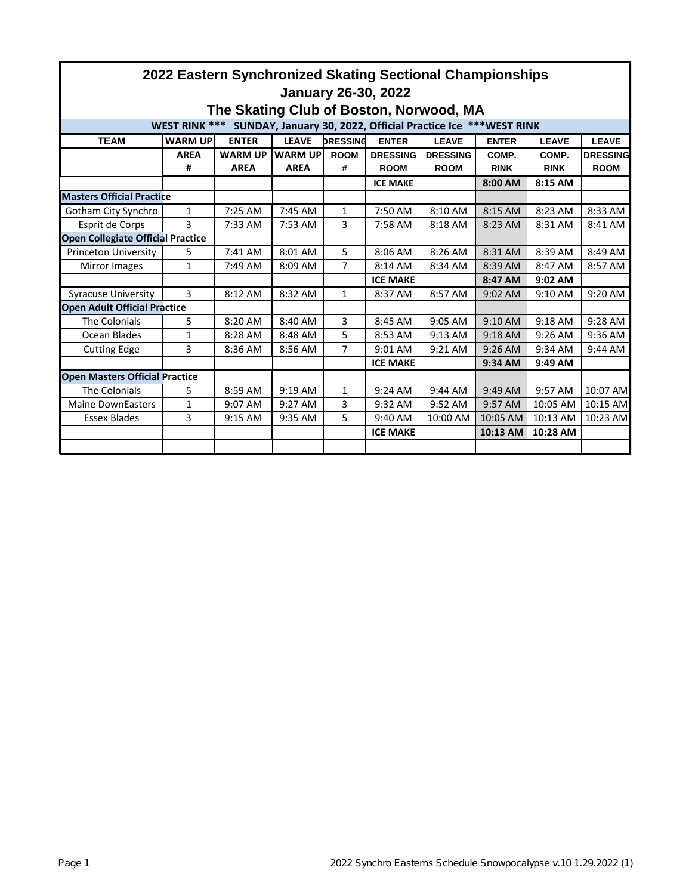| 2022 Eastern Synchronized Skating Sectional Championships<br><b>January 26-30, 2022</b> |                |                |                |                                 |                 |                              |             |                              |                 |  |  |
|-----------------------------------------------------------------------------------------|----------------|----------------|----------------|---------------------------------|-----------------|------------------------------|-------------|------------------------------|-----------------|--|--|
| The Skating Club of Boston, Norwood, MA                                                 |                |                |                |                                 |                 |                              |             |                              |                 |  |  |
| <b>WEST RINK ***</b><br>SUNDAY, January 30, 2022, Official Practice Ice *** WEST RINK   |                |                |                |                                 |                 |                              |             |                              |                 |  |  |
| <b>TEAM</b>                                                                             | <b>WARM UP</b> | <b>ENTER</b>   |                | <b>DRESSING</b><br><b>LEAVE</b> |                 | <b>ENTER</b><br><b>LEAVE</b> |             | <b>ENTER</b><br><b>LEAVE</b> |                 |  |  |
|                                                                                         | <b>AREA</b>    | <b>WARM UP</b> | <b>WARM UP</b> | <b>ROOM</b>                     | <b>DRESSING</b> | <b>DRESSING</b>              | COMP.       | COMP.                        | <b>DRESSING</b> |  |  |
|                                                                                         | #              | <b>AREA</b>    | <b>AREA</b>    | #                               | <b>ROOM</b>     | <b>ROOM</b>                  | <b>RINK</b> | <b>RINK</b>                  | <b>ROOM</b>     |  |  |
|                                                                                         |                |                |                |                                 | <b>ICE MAKE</b> |                              | 8:00 AM     | 8:15 AM                      |                 |  |  |
| <b>Masters Official Practice</b>                                                        |                |                |                |                                 |                 |                              |             |                              |                 |  |  |
| Gotham City Synchro                                                                     | $\mathbf{1}$   | 7:25 AM        | 7:45 AM        | 1                               | 7:50 AM         | 8:10 AM                      | 8:15 AM     | 8:23 AM                      | 8:33 AM         |  |  |
| Esprit de Corps                                                                         | 3              | 7:33 AM        | 7:53 AM        | 3                               | 7:58 AM         | 8:18 AM                      | 8:23 AM     | 8:31 AM                      | 8:41 AM         |  |  |
| <b>Open Collegiate Official Practice</b>                                                |                |                |                |                                 |                 |                              |             |                              |                 |  |  |
| Princeton University                                                                    | 5              | 7:41 AM        | 8:01 AM        | 5                               | 8:06 AM         | 8:26 AM                      | 8:31 AM     | 8:39 AM                      | 8:49 AM         |  |  |
| Mirror Images                                                                           | 1              | 7:49 AM        | 8:09 AM        | $\overline{7}$                  | 8:14 AM         | 8:34 AM                      | 8:39 AM     | 8:47 AM                      | 8:57 AM         |  |  |
|                                                                                         |                |                |                |                                 | <b>ICE MAKE</b> |                              | 8:47 AM     | 9:02 AM                      |                 |  |  |
| <b>Syracuse University</b>                                                              | 3              | 8:12 AM        | 8:32 AM        | $\mathbf{1}$                    | 8:37 AM         | 8:57 AM                      | 9:02 AM     | 9:10 AM                      | 9:20 AM         |  |  |
| <b>Open Adult Official Practice</b>                                                     |                |                |                |                                 |                 |                              |             |                              |                 |  |  |
| The Colonials                                                                           | 5              | 8:20 AM        | 8:40 AM        | 3                               | 8:45 AM         | $9:05$ AM                    | $9:10$ AM   | $9:18$ AM                    | 9:28 AM         |  |  |
| Ocean Blades                                                                            | 1              | 8:28 AM        | 8:48 AM        | 5                               | 8:53 AM         | 9:13 AM                      | 9:18 AM     | 9:26 AM                      | 9:36 AM         |  |  |
| <b>Cutting Edge</b>                                                                     | 3              | 8:36 AM        | 8:56 AM        | 7                               | 9:01 AM         | 9:21 AM                      | $9:26$ AM   | 9:34 AM                      | 9:44 AM         |  |  |
|                                                                                         |                |                |                |                                 | <b>ICE MAKE</b> |                              | 9:34 AM     | 9:49 AM                      |                 |  |  |
| <b>Open Masters Official Practice</b>                                                   |                |                |                |                                 |                 |                              |             |                              |                 |  |  |
| The Colonials                                                                           | 5              | 8:59 AM        | 9:19 AM        | 1                               | 9:24 AM         | 9:44 AM                      | 9:49 AM     | 9:57 AM                      | 10:07 AM        |  |  |
| <b>Maine DownEasters</b>                                                                | 1              | 9:07 AM        | 9:27 AM        | 3                               | 9:32 AM         | 9:52 AM                      | 9:57 AM     | 10:05 AM                     | 10:15 AM        |  |  |
| <b>Essex Blades</b>                                                                     | 3              | 9:15 AM        | 9:35 AM        | 5                               | 9:40 AM         | 10:00 AM                     | 10:05 AM    | 10:13 AM                     | 10:23 AM        |  |  |
|                                                                                         |                |                |                |                                 | <b>ICE MAKE</b> |                              | 10:13 AM    | 10:28 AM                     |                 |  |  |
|                                                                                         |                |                |                |                                 |                 |                              |             |                              |                 |  |  |